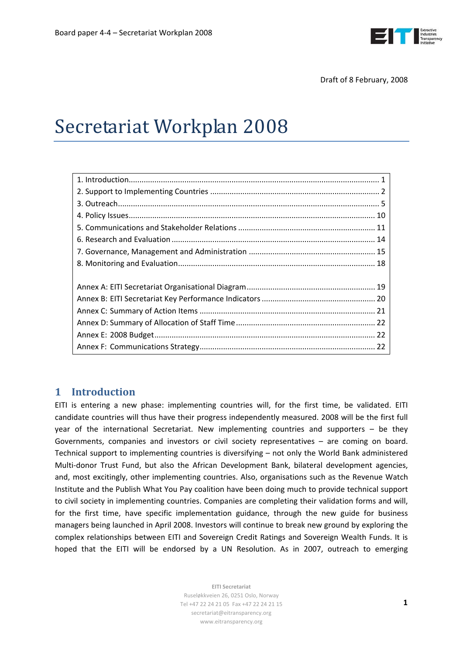

# <span id="page-0-0"></span>Secretariat Workplan 2008

# **1 Introduction**

EITI is entering a new phase: implementing countries will, for the first time, be validated. EITI candidate countries will thus have their progress independently measured. 2008 will be the first full year of the international Secretariat. New implementing countries and supporters – be they Governments, companies and investors or civil society representatives – are coming on board. Technical support to implementing countries is diversifying – not only the World Bank administered Multi-donor Trust Fund, but also the African Development Bank, bilateral development agencies, and, most excitingly, other implementing countries. Also, organisations such as the Revenue Watch Institute and the Publish What You Pay coalition have been doing much to provide technical support to civil society in implementing countries. Companies are completing their validation forms and will, for the first time, have specific implementation guidance, through the new guide for business managers being launched in April 2008. Investors will continue to break new ground by exploring the complex relationships between EITI and Sovereign Credit Ratings and Sovereign Wealth Funds. It is hoped that the EITI will be endorsed by a UN Resolution. As in 2007, outreach to emerging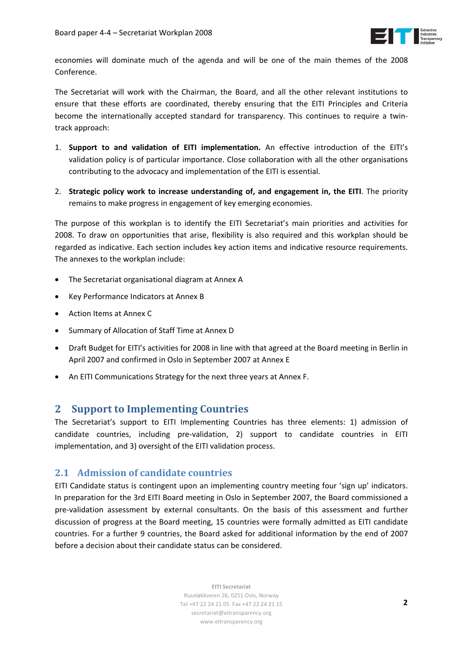

<span id="page-1-0"></span>economies will dominate much of the agenda and will be one of the main themes of the 2008 Conference.

The Secretariat will work with the Chairman, the Board, and all the other relevant institutions to ensure that these efforts are coordinated, thereby ensuring that the EITI Principles and Criteria become the internationally accepted standard for transparency. This continues to require a twin‐ track approach:

- 1. **Support to and validation of EITI implementation.** An effective introduction of the EITI's validation policy is of particular importance. Close collaboration with all the other organisations contributing to the advocacy and implementation of the EITI is essential.
- 2. **Strategic policy work to increase understanding of, and engagement in, the EITI**. The priority remains to make progress in engagement of key emerging economies.

The purpose of this workplan is to identify the EITI Secretariat's main priorities and activities for 2008. To draw on opportunities that arise, flexibility is also required and this workplan should be regarded as indicative. Each section includes key action items and indicative resource requirements. The annexes to the workplan include:

- The Secretariat organisational diagram at Annex A
- Key Performance Indicators at Annex B
- Action Items at Annex C
- Summary of Allocation of Staff Time at Annex D
- Draft Budget for EITI's activities for 2008 in line with that agreed at the Board meeting in Berlin in April 2007 and confirmed in Oslo in September 2007 at Annex E
- An EITI Communications Strategy for the next three years at Annex F.

# **2 Support to Implementing Countries**

The Secretariat's support to EITI Implementing Countries has three elements: 1) admission of candidate countries, including pre‐validation, 2) support to candidate countries in EITI implementation, and 3) oversight of the EITI validation process.

# **2.1 Admission of candidate countries**

EITI Candidate status is contingent upon an implementing country meeting four 'sign up' indicators. In preparation for the 3rd EITI Board meeting in Oslo in September 2007, the Board commissioned a pre‐validation assessment by external consultants. On the basis of this assessment and further discussion of progress at the Board meeting, 15 countries were formally admitted as EITI candidate countries. For a further 9 countries, the Board asked for additional information by the end of 2007 before a decision about their candidate status can be considered.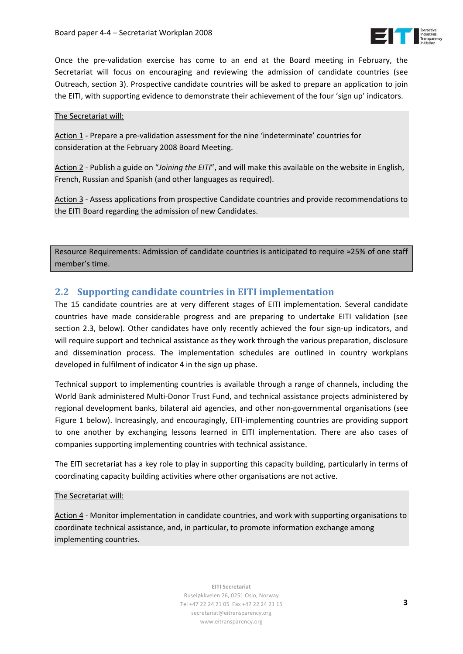

Once the pre‐validation exercise has come to an end at the Board meeting in February, the Secretariat will focus on encouraging and reviewing the admission of candidate countries (see Outreach, section 3). Prospective candidate countries will be asked to prepare an application to join the EITI, with supporting evidence to demonstrate their achievement of the four 'sign up' indicators.

### The Secretariat will:

Action 1 ‐ Prepare a pre‐validation assessment for the nine 'indeterminate' countries for consideration at the February 2008 Board Meeting.

Action 2 ‐ Publish a guide on "*Joining the EITI*", and will make this available on the website in English, French, Russian and Spanish (and other languages as required).

Action 3 ‐ Assess applications from prospective Candidate countries and provide recommendations to the EITI Board regarding the admission of new Candidates.

Resource Requirements: Admission of candidate countries is anticipated to require ≈25% of one staff member's time.

# **2.2 Supporting candidate countries in EITI implementation**

The 15 candidate countries are at very different stages of EITI implementation. Several candidate countries have made considerable progress and are preparing to undertake EITI validation (see section 2.3, below). Other candidates have only recently achieved the four sign-up indicators, and will require support and technical assistance as they work through the various preparation, disclosure and dissemination process. The implementation schedules are outlined in country workplans developed in fulfilment of indicator 4 in the sign up phase.

Technical support to implementing countries is available through a range of channels, including the World Bank administered Multi‐Donor Trust Fund, and technical assistance projects administered by regional development banks, bilateral aid agencies, and other non‐governmental organisations (see [Figure](#page-3-0) 1 below). Increasingly, and encouragingly, EITI-implementing countries are providing support to one another by exchanging lessons learned in EITI implementation. There are also cases of companies supporting implementing countries with technical assistance.

The EITI secretariat has a key role to play in supporting this capacity building, particularly in terms of coordinating capacity building activities where other organisations are not active.

## The Secretariat will:

Action 4 ‐ Monitor implementation in candidate countries, and work with supporting organisations to coordinate technical assistance, and, in particular, to promote information exchange among implementing countries.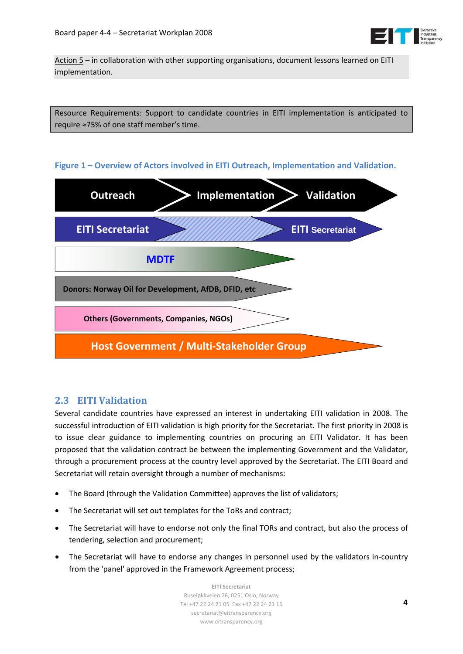

Action 5 – in collaboration with other supporting organisations, document lessons learned on EITI implementation.

Resource Requirements: Support to candidate countries in EITI implementation is anticipated to require ≈75% of one staff member's time.

## **Figure 1 – Overview of Actors involved in EITI Outreach, Implementation and Validation.**

<span id="page-3-0"></span>

# **2.3 EITI Validation**

Several candidate countries have expressed an interest in undertaking EITI validation in 2008. The successful introduction of EITI validation is high priority for the Secretariat. The first priority in 2008 is to issue clear guidance to implementing countries on procuring an EITI Validator. It has been proposed that the validation contract be between the implementing Government and the Validator, through a procurement process at the country level approved by the Secretariat. The EITI Board and Secretariat will retain oversight through a number of mechanisms:

- The Board (through the Validation Committee) approves the list of validators;
- The Secretariat will set out templates for the ToRs and contract;
- The Secretariat will have to endorse not only the final TORs and contract, but also the process of tendering, selection and procurement;
- The Secretariat will have to endorse any changes in personnel used by the validators in-country from the 'panel' approved in the Framework Agreement process;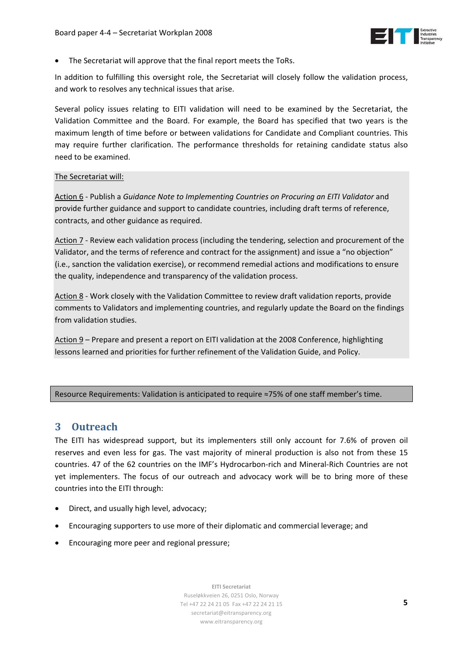

<span id="page-4-0"></span>The Secretariat will approve that the final report meets the ToRs.

In addition to fulfilling this oversight role, the Secretariat will closely follow the validation process, and work to resolves any technical issues that arise.

Several policy issues relating to EITI validation will need to be examined by the Secretariat, the Validation Committee and the Board. For example, the Board has specified that two years is the maximum length of time before or between validations for Candidate and Compliant countries. This may require further clarification. The performance thresholds for retaining candidate status also need to be examined.

#### The Secretariat will:

Action 6 ‐ Publish a *Guidance Note to Implementing Countries on Procuring an EITI Validator* and provide further guidance and support to candidate countries, including draft terms of reference, contracts, and other guidance as required.

Action 7 - Review each validation process (including the tendering, selection and procurement of the Validator, and the terms of reference and contract for the assignment) and issue a "no objection" (i.e., sanction the validation exercise), or recommend remedial actions and modifications to ensure the quality, independence and transparency of the validation process.

Action 8 ‐ Work closely with the Validation Committee to review draft validation reports, provide comments to Validators and implementing countries, and regularly update the Board on the findings from validation studies.

Action 9 – Prepare and present a report on EITI validation at the 2008 Conference, highlighting lessons learned and priorities for further refinement of the Validation Guide, and Policy.

Resource Requirements: Validation is anticipated to require ≈75% of one staff member's time.

# **3 Outreach**

The EITI has widespread support, but its implementers still only account for 7.6% of proven oil reserves and even less for gas. The vast majority of mineral production is also not from these 15 countries. 47 of the 62 countries on the IMF's Hydrocarbon‐rich and Mineral‐Rich Countries are not yet implementers. The focus of our outreach and advocacy work will be to bring more of these countries into the EITI through:

- Direct, and usually high level, advocacy;
- Encouraging supporters to use more of their diplomatic and commercial leverage; and
- Encouraging more peer and regional pressure;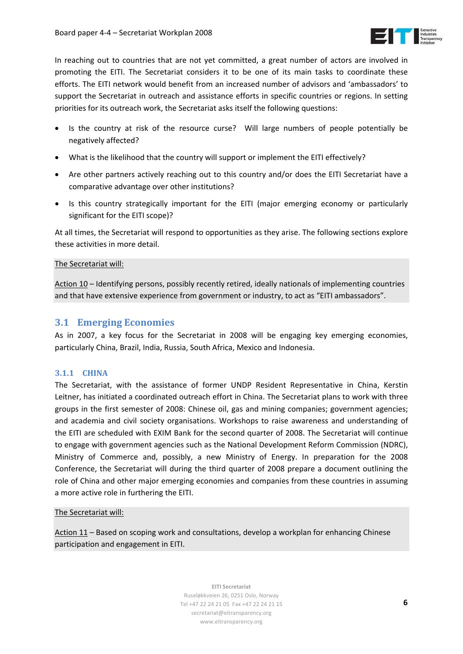

In reaching out to countries that are not yet committed, a great number of actors are involved in promoting the EITI. The Secretariat considers it to be one of its main tasks to coordinate these efforts. The EITI network would benefit from an increased number of advisors and 'ambassadors' to support the Secretariat in outreach and assistance efforts in specific countries or regions. In setting priorities for its outreach work, the Secretariat asks itself the following questions:

- Is the country at risk of the resource curse? Will large numbers of people potentially be negatively affected?
- What is the likelihood that the country will support or implement the EITI effectively?
- Are other partners actively reaching out to this country and/or does the EITI Secretariat have a comparative advantage over other institutions?
- Is this country strategically important for the EITI (major emerging economy or particularly significant for the EITI scope)?

At all times, the Secretariat will respond to opportunities as they arise. The following sections explore these activities in more detail.

#### The Secretariat will:

Action 10 - Identifying persons, possibly recently retired, ideally nationals of implementing countries and that have extensive experience from government or industry, to act as "EITI ambassadors".

## **3.1 Emerging Economies**

As in 2007, a key focus for the Secretariat in 2008 will be engaging key emerging economies, particularly China, Brazil, India, Russia, South Africa, Mexico and Indonesia.

#### **3.1.1 CHINA**

The Secretariat, with the assistance of former UNDP Resident Representative in China, Kerstin Leitner, has initiated a coordinated outreach effort in China. The Secretariat plans to work with three groups in the first semester of 2008: Chinese oil, gas and mining companies; government agencies; and academia and civil society organisations. Workshops to raise awareness and understanding of the EITI are scheduled with EXIM Bank for the second quarter of 2008. The Secretariat will continue to engage with government agencies such as the National Development Reform Commission (NDRC), Ministry of Commerce and, possibly, a new Ministry of Energy. In preparation for the 2008 Conference, the Secretariat will during the third quarter of 2008 prepare a document outlining the role of China and other major emerging economies and companies from these countries in assuming a more active role in furthering the EITI.

#### The Secretariat will:

Action 11 – Based on scoping work and consultations, develop a workplan for enhancing Chinese participation and engagement in EITI.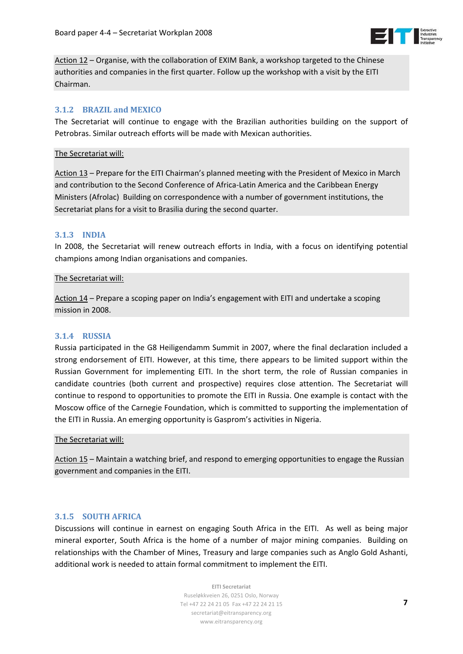

Action 12 – Organise, with the collaboration of EXIM Bank, a workshop targeted to the Chinese authorities and companies in the first quarter. Follow up the workshop with a visit by the EITI Chairman.

## **3.1.2 BRAZIL and MEXICO**

The Secretariat will continue to engage with the Brazilian authorities building on the support of Petrobras. Similar outreach efforts will be made with Mexican authorities.

#### The Secretariat will:

Action 13 – Prepare for the EITI Chairman's planned meeting with the President of Mexico in March and contribution to the Second Conference of Africa-Latin America and the Caribbean Energy Ministers (Afrolac) Building on correspondence with a number of government institutions, the Secretariat plans for a visit to Brasilia during the second quarter.

#### **3.1.3 INDIA**

In 2008, the Secretariat will renew outreach efforts in India, with a focus on identifying potential champions among Indian organisations and companies.

#### The Secretariat will:

Action 14 – Prepare a scoping paper on India's engagement with EITI and undertake a scoping mission in 2008.

#### **3.1.4 RUSSIA**

Russia participated in the G8 Heiligendamm Summit in 2007, where the final declaration included a strong endorsement of EITI. However, at this time, there appears to be limited support within the Russian Government for implementing EITI. In the short term, the role of Russian companies in candidate countries (both current and prospective) requires close attention. The Secretariat will continue to respond to opportunities to promote the EITI in Russia. One example is contact with the Moscow office of the Carnegie Foundation, which is committed to supporting the implementation of the EITI in Russia. An emerging opportunity is Gasprom's activities in Nigeria.

#### The Secretariat will:

Action 15 – Maintain a watching brief, and respond to emerging opportunities to engage the Russian government and companies in the EITI.

#### **3.1.5 SOUTH AFRICA**

Discussions will continue in earnest on engaging South Africa in the EITI. As well as being major mineral exporter, South Africa is the home of a number of major mining companies. Building on relationships with the Chamber of Mines, Treasury and large companies such as Anglo Gold Ashanti, additional work is needed to attain formal commitment to implement the EITI.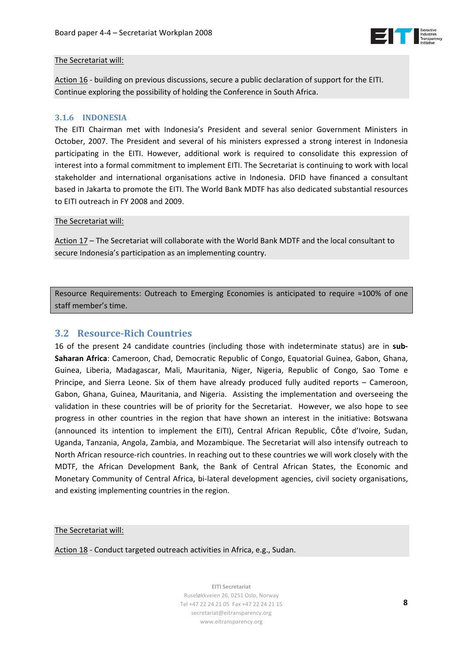

## The Secretariat will:

Action 16 - building on previous discussions, secure a public declaration of support for the EITI. Continue exploring the possibility of holding the Conference in South Africa.

### **3.1.6 INDONESIA**

The EITI Chairman met with Indonesia's President and several senior Government Ministers in October, 2007. The President and several of his ministers expressed a strong interest in Indonesia participating in the EITI. However, additional work is required to consolidate this expression of interest into a formal commitment to implement EITI. The Secretariat is continuing to work with local stakeholder and international organisations active in Indonesia. DFID have financed a consultant based in Jakarta to promote the EITI. The World Bank MDTF has also dedicated substantial resources to EITI outreach in FY 2008 and 2009.

#### The Secretariat will:

Action 17 – The Secretariat will collaborate with the World Bank MDTF and the local consultant to secure Indonesia's participation as an implementing country.

Resource Requirements: Outreach to Emerging Economies is anticipated to require ≈100% of one staff member's time.

# **3.2 ResourceRich Countries**

16 of the present 24 candidate countries (including those with indeterminate status) are in **sub‐ Saharan Africa**: Cameroon, Chad, Democratic Republic of Congo, Equatorial Guinea, Gabon, Ghana, Guinea, Liberia, Madagascar, Mali, Mauritania, Niger, Nigeria, Republic of Congo, Sao Tome e Principe, and Sierra Leone. Six of them have already produced fully audited reports – Cameroon, Gabon, Ghana, Guinea, Mauritania, and Nigeria. Assisting the implementation and overseeing the validation in these countries will be of priority for the Secretariat. However, we also hope to see progress in other countries in the region that have shown an interest in the initiative: Botswana (announced its intention to implement the EITI), Central African Republic, Côte d'Ivoire, Sudan, Uganda, Tanzania, Angola, Zambia, and Mozambique. The Secretariat will also intensify outreach to North African resource‐rich countries. In reaching out to these countries we will work closely with the MDTF, the African Development Bank, the Bank of Central African States, the Economic and Monetary Community of Central Africa, bi‐lateral development agencies, civil society organisations, and existing implementing countries in the region.

## The Secretariat will:

Action 18 ‐ Conduct targeted outreach activities in Africa, e.g., Sudan.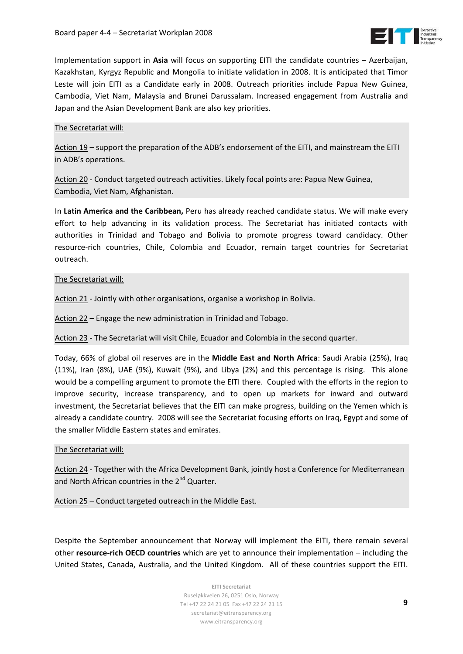

Implementation support in **Asia** will focus on supporting EITI the candidate countries – Azerbaijan, Kazakhstan, Kyrgyz Republic and Mongolia to initiate validation in 2008. It is anticipated that Timor Leste will join EITI as a Candidate early in 2008. Outreach priorities include Papua New Guinea, Cambodia, Viet Nam, Malaysia and Brunei Darussalam. Increased engagement from Australia and Japan and the Asian Development Bank are also key priorities.

## The Secretariat will:

Action 19 – support the preparation of the ADB's endorsement of the EITI, and mainstream the EITI in ADB's operations.

Action 20 ‐ Conduct targeted outreach activities. Likely focal points are: Papua New Guinea, Cambodia, Viet Nam, Afghanistan.

In **Latin America and the Caribbean,** Peru has already reached candidate status. We will make every effort to help advancing in its validation process. The Secretariat has initiated contacts with authorities in Trinidad and Tobago and Bolivia to promote progress toward candidacy. Other resource‐rich countries, Chile, Colombia and Ecuador, remain target countries for Secretariat outreach.

#### The Secretariat will:

Action 21 - Jointly with other organisations, organise a workshop in Bolivia.

Action 22 – Engage the new administration in Trinidad and Tobago.

Action 23 ‐ The Secretariat will visit Chile, Ecuador and Colombia in the second quarter.

Today, 66% of global oil reserves are in the **Middle East and North Africa**: Saudi [Arabia](http://www.iags.org/saudi.html) (25%), [Iraq](http://www.iags.org/iraq.html) (11%), [Iran](http://www.iags.org/iran.html) (8%), [UAE](http://www.iags.org/uae.html) (9%), [Kuwait](http://www.iags.org/kuwait.html) (9%), and [Libya](http://www.iags.org/libya.html) (2%) and this percentage is rising. This alone would be a compelling argument to promote the EITI there. Coupled with the efforts in the region to improve security, increase transparency, and to open up markets for inward and outward investment, the Secretariat believes that the EITI can make progress, building on the Yemen which is already a candidate country. 2008 will see the Secretariat focusing efforts on Iraq, Egypt and some of the smaller Middle Eastern states and emirates.

#### The Secretariat will:

Action 24 - Together with the Africa Development Bank, jointly host a Conference for Mediterranean and North African countries in the 2<sup>nd</sup> Quarter.

Action 25 – Conduct targeted outreach in the Middle East.

Despite the September announcement that Norway will implement the EITI, there remain several other **resource‐rich OECD countries** which are yet to announce their implementation – including the United States, Canada, Australia, and the United Kingdom. All of these countries support the EITI.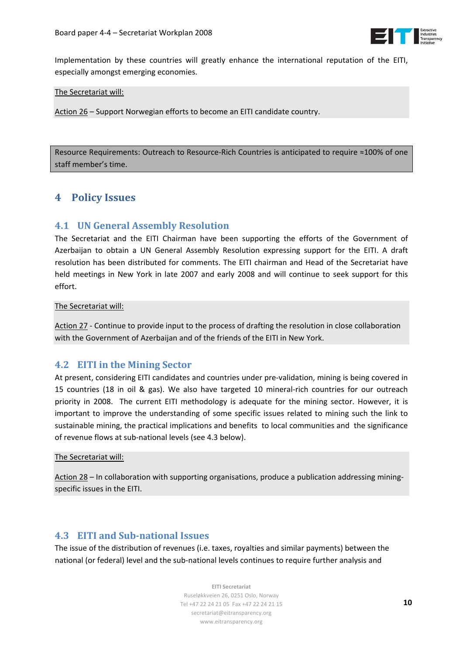

<span id="page-9-0"></span>Implementation by these countries will greatly enhance the international reputation of the EITI, especially amongst emerging economies.

#### The Secretariat will:

Action 26 – Support Norwegian efforts to become an EITI candidate country.

Resource Requirements: Outreach to Resource‐Rich Countries is anticipated to require ≈100% of one staff member's time.

# **4 Policy Issues**

# **4.1 UN General Assembly Resolution**

The Secretariat and the EITI Chairman have been supporting the efforts of the Government of Azerbaijan to obtain a UN General Assembly Resolution expressing support for the EITI. A draft resolution has been distributed for comments. The EITI chairman and Head of the Secretariat have held meetings in New York in late 2007 and early 2008 and will continue to seek support for this effort.

#### The Secretariat will:

Action 27 ‐ Continue to provide input to the process of drafting the resolution in close collaboration with the Government of Azerbaijan and of the friends of the EITI in New York.

## **4.2 EITI in the Mining Sector**

At present, considering EITI candidates and countries under pre‐validation, mining is being covered in 15 countries (18 in oil & gas). We also have targeted 10 mineral‐rich countries for our outreach priority in 2008. The current EITI methodology is adequate for the mining sector. However, it is important to improve the understanding of some specific issues related to mining such the link to sustainable mining, the practical implications and benefits to local communities and the significance of revenue flows at sub‐national levels (see 4.3 below).

#### The Secretariat will:

Action 28 – In collaboration with supporting organisations, produce a publication addressing miningspecific issues in the EITI.

# **4.3 EITI and Subnational Issues**

The issue of the distribution of revenues (i.e. taxes, royalties and similar payments) between the national (or federal) level and the sub-national levels continues to require further analysis and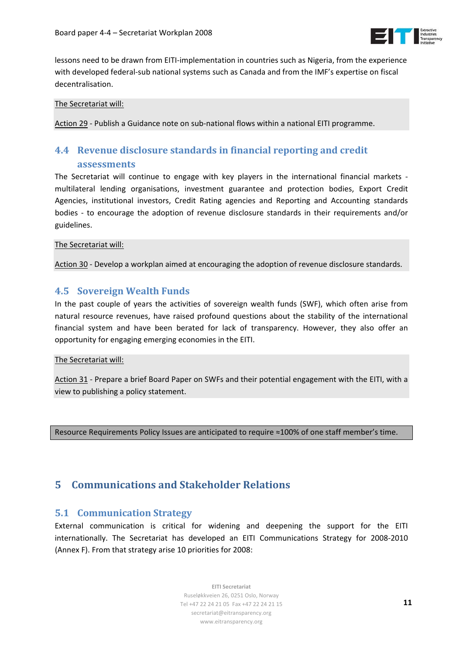

<span id="page-10-0"></span>lessons need to be drawn from EITI‐implementation in countries such as Nigeria, from the experience with developed federal-sub national systems such as Canada and from the IMF's expertise on fiscal decentralisation.

### The Secretariat will:

Action 29 ‐ Publish a Guidance note on sub‐national flows within a national EITI programme.

# **4.4 Revenue disclosure standards in financial reporting and credit assessments**

The Secretariat will continue to engage with key players in the international financial markets multilateral lending organisations, investment guarantee and protection bodies, Export Credit Agencies, institutional investors, Credit Rating agencies and Reporting and Accounting standards bodies ‐ to encourage the adoption of revenue disclosure standards in their requirements and/or guidelines.

The Secretariat will:

Action 30 - Develop a workplan aimed at encouraging the adoption of revenue disclosure standards.

# **4.5 Sovereign Wealth Funds**

In the past couple of years the activities of sovereign wealth funds (SWF), which often arise from natural resource revenues, have raised profound questions about the stability of the international financial system and have been berated for lack of transparency. However, they also offer an opportunity for engaging emerging economies in the EITI.

## The Secretariat will:

Action 31 ‐ Prepare a brief Board Paper on SWFs and their potential engagement with the EITI, with a view to publishing a policy statement.

Resource Requirements Policy Issues are anticipated to require ≈100% of one staff member's time.

# **5 Communications and Stakeholder Relations**

# **5.1 Communication Strategy**

External communication is critical for widening and deepening the support for the EITI internationally. The Secretariat has developed an EITI Communications Strategy for 2008‐2010 (Annex F). From that strategy arise 10 priorities for 2008: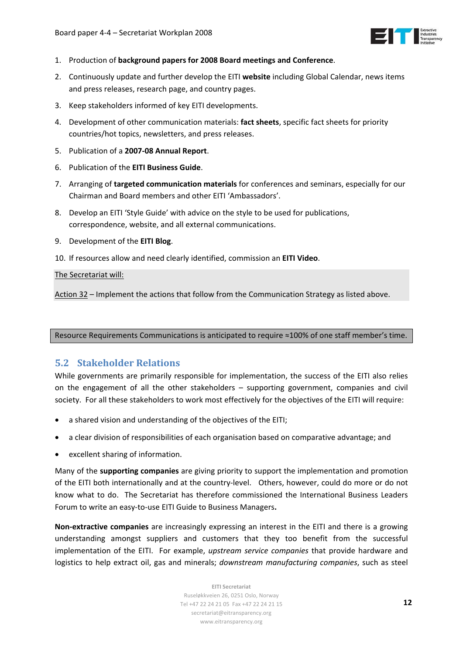

- 1. Production of **background papers for 2008 Board meetings and Conference**.
- 2. Continuously update and further develop the EITI **website** including Global Calendar, news items and press releases, research page, and country pages.
- 3. Keep stakeholders informed of key EITI developments.
- 4. Development of other communication materials: **fact sheets**, specific fact sheets for priority countries/hot topics, newsletters, and press releases.
- 5. Publication of a **2007‐08 Annual Report**.
- 6. Publication of the **EITI Business Guide**.
- 7. Arranging of **targeted communication materials** for conferences and seminars, especially for our Chairman and Board members and other EITI 'Ambassadors'.
- 8. Develop an EITI 'Style Guide' with advice on the style to be used for publications, correspondence, website, and all external communications.
- 9. Development of the **EITI Blog**.
- 10. If resources allow and need clearly identified, commission an **EITI Video**.

#### The Secretariat will:

Action 32 – Implement the actions that follow from the Communication Strategy as listed above.

Resource Requirements Communications is anticipated to require ≈100% of one staff member's time.

# **5.2 Stakeholder Relations**

While governments are primarily responsible for implementation, the success of the EITI also relies on the engagement of all the other stakeholders – supporting government, companies and civil society. For all these stakeholders to work most effectively for the objectives of the EITI will require:

- a shared vision and understanding of the objectives of the EITI;
- a clear division of responsibilities of each organisation based on comparative advantage; and
- excellent sharing of information.

Many of the **supporting companies** are giving priority to support the implementation and promotion of the EITI both internationally and at the country-level. Others, however, could do more or do not know what to do. The Secretariat has therefore commissioned the International Business Leaders Forum to write an easy‐to‐use EITI Guide to Business Managers**.**

**Non‐extractive companies** are increasingly expressing an interest in the EITI and there is a growing understanding amongst suppliers and customers that they too benefit from the successful implementation of the EITI. For example, *upstream service companies* that provide hardware and logistics to help extract oil, gas and minerals; *downstream manufacturing companies*, such as steel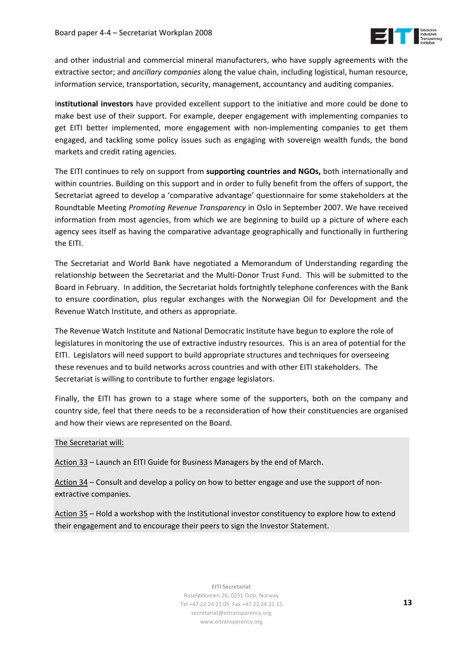

and other industrial and commercial mineral manufacturers, who have supply agreements with the extractive sector; and *ancillary companies* along the value chain, including logistical, human resource, information service, transportation, security, management, accountancy and auditing companies.

I**nstitutional investors** have provided excellent support to the initiative and more could be done to make best use of their support. For example, deeper engagement with implementing companies to get EITI better implemented, more engagement with non-implementing companies to get them engaged, and tackling some policy issues such as engaging with sovereign wealth funds, the bond markets and credit rating agencies.

The EITI continues to rely on support from **supporting countries and NGOs,** both internationally and within countries. Building on this support and in order to fully benefit from the offers of support, the Secretariat agreed to develop a 'comparative advantage' questionnaire for some stakeholders at the Roundtable Meeting *Promoting Revenue Transparency* in Oslo in September 2007. We have received information from most agencies, from which we are beginning to build up a picture of where each agency sees itself as having the comparative advantage geographically and functionally in furthering the EITI.

The Secretariat and World Bank have negotiated a Memorandum of Understanding regarding the relationship between the Secretariat and the Multi‐Donor Trust Fund. This will be submitted to the Board in February. In addition, the Secretariat holds fortnightly telephone conferences with the Bank to ensure coordination, plus regular exchanges with the Norwegian Oil for Development and the Revenue Watch Institute, and others as appropriate.

The Revenue Watch Institute and National Democratic Institute have begun to explore the role of legislatures in monitoring the use of extractive industry resources. This is an area of potential for the EITI. Legislators will need support to build appropriate structures and techniques for overseeing these revenues and to build networks across countries and with other EITI stakeholders. The Secretariat is willing to contribute to further engage legislators.

Finally, the EITI has grown to a stage where some of the supporters, both on the company and country side, feel that there needs to be a reconsideration of how their constituencies are organised and how their views are represented on the Board.

#### The Secretariat will:

Action 33 – Launch an EITI Guide for Business Managers by the end of March.

Action 34 – Consult and develop a policy on how to better engage and use the support of non‐ extractive companies.

Action 35 – Hold a workshop with the institutional investor constituency to explore how to extend their engagement and to encourage their peers to sign the Investor Statement.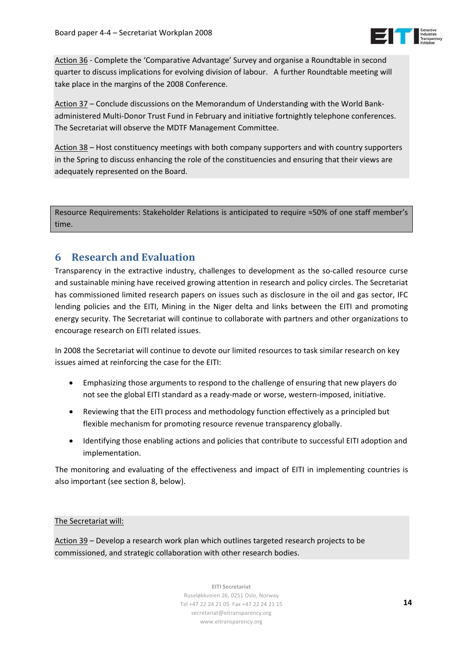

<span id="page-13-0"></span>Action 36 ‐ Complete the 'Comparative Advantage' Survey and organise a Roundtable in second quarter to discuss implications for evolving division of labour. A further Roundtable meeting will take place in the margins of the 2008 Conference.

Action 37 – Conclude discussions on the Memorandum of Understanding with the World Bank‐ administered Multi‐Donor Trust Fund in February and initiative fortnightly telephone conferences. The Secretariat will observe the MDTF Management Committee.

Action 38 – Host constituency meetings with both company supporters and with country supporters in the Spring to discuss enhancing the role of the constituencies and ensuring that their views are adequately represented on the Board.

Resource Requirements: Stakeholder Relations is anticipated to require ≈50% of one staff member's time.

# **6 Research and Evaluation**

Transparency in the extractive industry, challenges to development as the so-called resource curse and sustainable mining have received growing attention in research and policy circles. The Secretariat has commissioned limited research papers on issues such as disclosure in the oil and gas sector, IFC lending policies and the EITI, Mining in the Niger delta and links between the EITI and promoting energy security. The Secretariat will continue to collaborate with partners and other organizations to encourage research on EITI related issues.

In 2008 the Secretariat will continue to devote our limited resources to task similar research on key issues aimed at reinforcing the case for the EITI:

- Emphasizing those arguments to respond to the challenge of ensuring that new players do not see the global EITI standard as a ready‐made or worse, western‐imposed, initiative.
- Reviewing that the EITI process and methodology function effectively as a principled but flexible mechanism for promoting resource revenue transparency globally.
- Identifying those enabling actions and policies that contribute to successful EITI adoption and implementation.

The monitoring and evaluating of the effectiveness and impact of EITI in implementing countries is also important (see section 8, below).

## The Secretariat will:

Action 39 – Develop a research work plan which outlines targeted research projects to be commissioned, and strategic collaboration with other research bodies.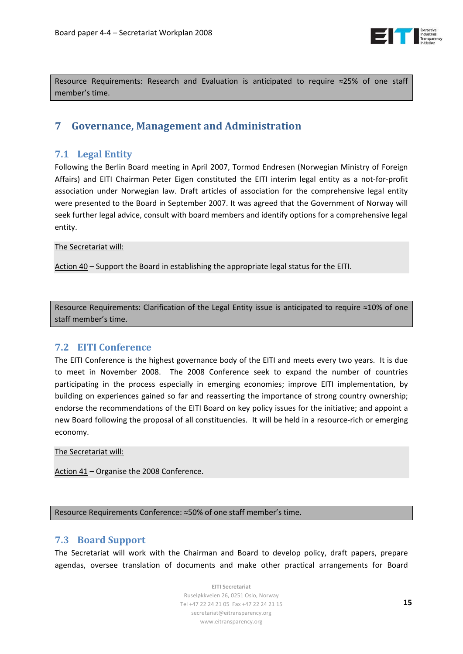

<span id="page-14-0"></span>Resource Requirements: Research and Evaluation is anticipated to require ≈25% of one staff member's time.

# **7 Governance, Management and Administration**

# **7.1 Legal Entity**

Following the Berlin Board meeting in April 2007, Tormod Endresen (Norwegian Ministry of Foreign Affairs) and EITI Chairman Peter Eigen constituted the EITI interim legal entity as a not-for-profit association under Norwegian law. Draft articles of association for the comprehensive legal entity were presented to the Board in September 2007. It was agreed that the Government of Norway will seek further legal advice, consult with board members and identify options for a comprehensive legal entity.

## The Secretariat will:

Action 40 – Support the Board in establishing the appropriate legal status for the EITI.

Resource Requirements: Clarification of the Legal Entity issue is anticipated to require ≈10% of one staff member's time.

# **7.2 EITI Conference**

The EITI Conference is the highest governance body of the EITI and meets every two years. It is due to meet in November 2008. The 2008 Conference seek to expand the number of countries participating in the process especially in emerging economies; improve EITI implementation, by building on experiences gained so far and reasserting the importance of strong country ownership; endorse the recommendations of the EITI Board on key policy issues for the initiative; and appoint a new Board following the proposal of all constituencies. It will be held in a resource-rich or emerging economy.

The Secretariat will:

Action 41 – Organise the 2008 Conference.

Resource Requirements Conference: ≈50% of one staff member's time.

# **7.3 Board Support**

The Secretariat will work with the Chairman and Board to develop policy, draft papers, prepare agendas, oversee translation of documents and make other practical arrangements for Board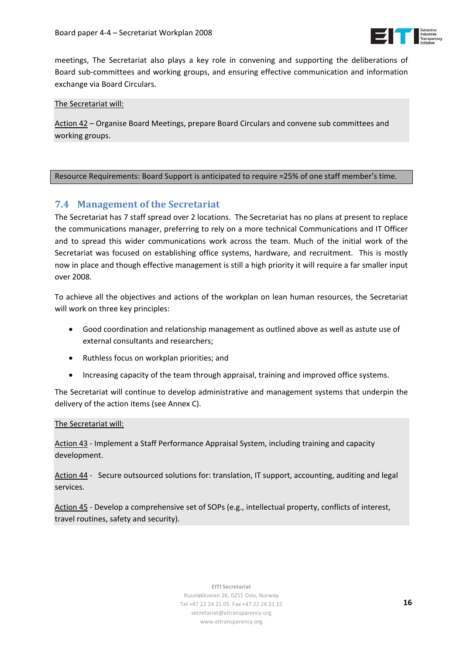

meetings, The Secretariat also plays a key role in convening and supporting the deliberations of Board sub‐committees and working groups, and ensuring effective communication and information exchange via Board Circulars.

The Secretariat will:

Action 42 – Organise Board Meetings, prepare Board Circulars and convene sub committees and working groups.

#### Resource Requirements: Board Support is anticipated to require ≈25% of one staff member's time.

## **7.4 Management of the Secretariat**

The Secretariat has 7 staff spread over 2 locations. The Secretariat has no plans at present to replace the communications manager, preferring to rely on a more technical Communications and IT Officer and to spread this wider communications work across the team. Much of the initial work of the Secretariat was focused on establishing office systems, hardware, and recruitment. This is mostly now in place and though effective management is still a high priority it will require a far smaller input over 2008.

To achieve all the objectives and actions of the workplan on lean human resources, the Secretariat will work on three key principles:

- Good coordination and relationship management as outlined above as well as astute use of external consultants and researchers;
- Ruthless focus on workplan priorities; and
- Increasing capacity of the team through appraisal, training and improved office systems.

The Secretariat will continue to develop administrative and management systems that underpin the delivery of the action items (see Annex C).

#### The Secretariat will:

Action 43 ‐ Implement a Staff Performance Appraisal System, including training and capacity development.

Action 44 - Secure outsourced solutions for: translation, IT support, accounting, auditing and legal services.

Action 45 ‐ Develop a comprehensive set of SOPs (e.g., intellectual property, conflicts of interest, travel routines, safety and security).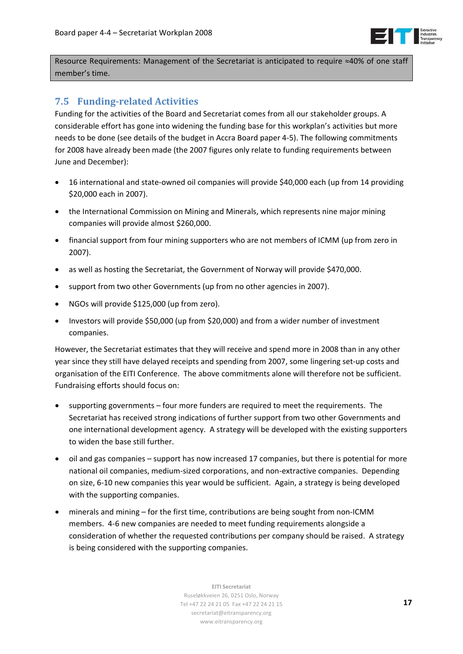

Resource Requirements: Management of the Secretariat is anticipated to require ≈40% of one staff member's time.

# **7.5 Fundingrelated Activities**

Funding for the activities of the Board and Secretariat comes from all our stakeholder groups. A considerable effort has gone into widening the funding base for this workplan's activities but more needs to be done (see details of the budget in Accra Board paper 4‐5). The following commitments for 2008 have already been made (the 2007 figures only relate to funding requirements between June and December):

- 16 international and state‐owned oil companies will provide \$40,000 each (up from 14 providing \$20,000 each in 2007).
- the International Commission on Mining and Minerals, which represents nine major mining companies will provide almost \$260,000.
- financial support from four mining supporters who are not members of ICMM (up from zero in 2007).
- as well as hosting the Secretariat, the Government of Norway will provide \$470,000.
- support from two other Governments (up from no other agencies in 2007).
- NGOs will provide \$125,000 (up from zero).
- Investors will provide \$50,000 (up from \$20,000) and from a wider number of investment companies.

However, the Secretariat estimates that they will receive and spend more in 2008 than in any other year since they still have delayed receipts and spending from 2007, some lingering set-up costs and organisation of the EITI Conference. The above commitments alone will therefore not be sufficient. Fundraising efforts should focus on:

- supporting governments four more funders are required to meet the requirements. The Secretariat has received strong indications of further support from two other Governments and one international development agency. A strategy will be developed with the existing supporters to widen the base still further.
- oil and gas companies support has now increased 17 companies, but there is potential for more national oil companies, medium‐sized corporations, and non‐extractive companies. Depending on size, 6‐10 new companies this year would be sufficient. Again, a strategy is being developed with the supporting companies.
- minerals and mining for the first time, contributions are being sought from non‐ICMM members. 4‐6 new companies are needed to meet funding requirements alongside a consideration of whether the requested contributions per company should be raised. A strategy is being considered with the supporting companies.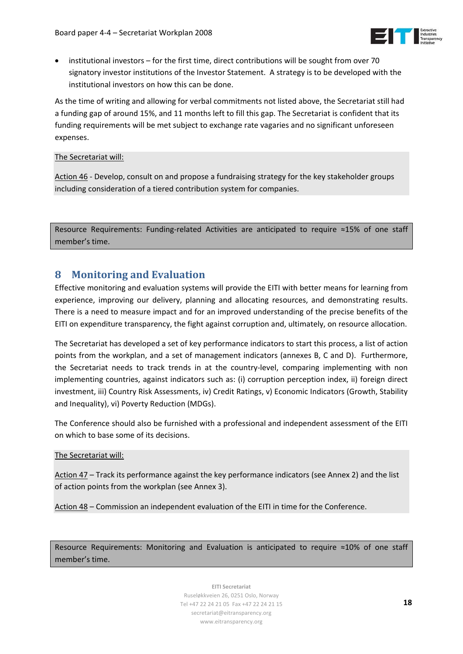

<span id="page-17-0"></span>• institutional investors – for the first time, direct contributions will be sought from over 70 signatory investor institutions of the Investor Statement. A strategy is to be developed with the institutional investors on how this can be done.

As the time of writing and allowing for verbal commitments not listed above, the Secretariat still had a funding gap of around 15%, and 11 months left to fill this gap. The Secretariat is confident that its funding requirements will be met subject to exchange rate vagaries and no significant unforeseen expenses.

### The Secretariat will:

Action 46 ‐ Develop, consult on and propose a fundraising strategy for the key stakeholder groups including consideration of a tiered contribution system for companies.

Resource Requirements: Funding-related Activities are anticipated to require ≈15% of one staff member's time.

# **8 Monitoring and Evaluation**

Effective monitoring and evaluation systems will provide the EITI with better means for learning from experience, improving our delivery, planning and allocating resources, and demonstrating results. There is a need to measure impact and for an improved understanding of the precise benefits of the EITI on expenditure transparency, the fight against corruption and, ultimately, on resource allocation.

The Secretariat has developed a set of key performance indicators to start this process, a list of action points from the workplan, and a set of management indicators (annexes B, C and D). Furthermore, the Secretariat needs to track trends in at the country-level, comparing implementing with non implementing countries, against indicators such as: (i) corruption perception index, ii) foreign direct investment, iii) Country Risk Assessments, iv) Credit Ratings, v) Economic Indicators (Growth, Stability and Inequality), vi) Poverty Reduction (MDGs).

The Conference should also be furnished with a professional and independent assessment of the EITI on which to base some of its decisions.

## The Secretariat will:

Action 47 – Track its performance against the key performance indicators (see Annex 2) and the list of action points from the workplan (see Annex 3).

Action 48 – Commission an independent evaluation of the EITI in time for the Conference.

Resource Requirements: Monitoring and Evaluation is anticipated to require ≈10% of one staff member's time.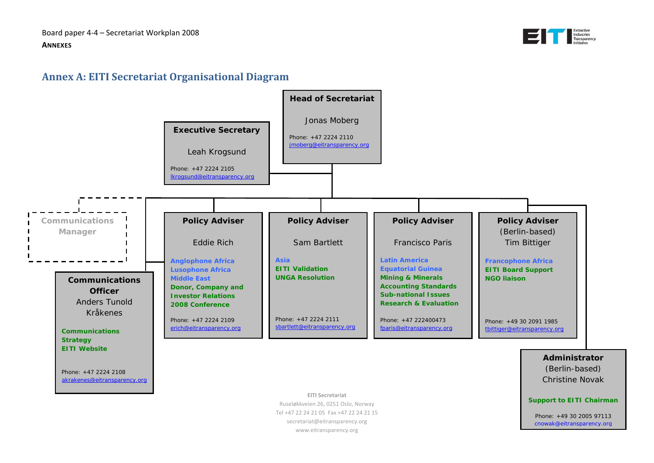Board paper 4‐4 – Secretariat Workplan 2008 **ANNEXES**



# **Annex A: EITI Secretariat Organisational Diagram**



<span id="page-18-0"></span>www.eitransparency.org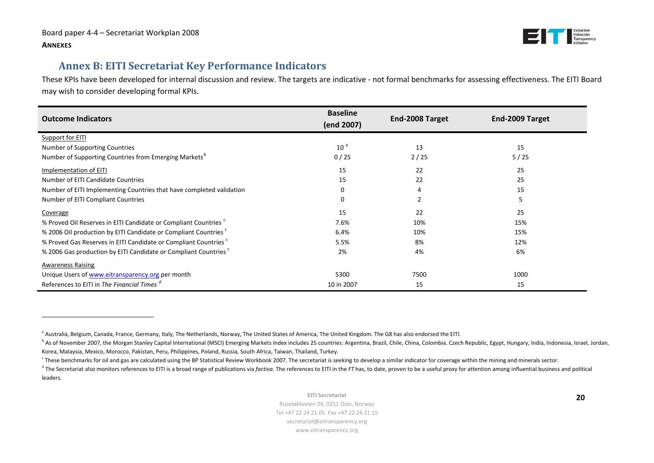

# **Annex B: EITI Secretariat Key Performance Indicators**

These KPIs have been developed for internal discussion and review. The targets are indicative ‐ not formal benchmarks for assessing effectiveness. The EITI Board may wish to consider developing formal KPIs.

| <b>Outcome Indicators</b>                                                   | <b>Baseline</b><br>(end 2007) | End-2008 Target | End-2009 Target |
|-----------------------------------------------------------------------------|-------------------------------|-----------------|-----------------|
| Support for EITI                                                            |                               |                 |                 |
| Number of Supporting Countries                                              | 10 <sup>3</sup>               | 13              | 15              |
| Number of Supporting Countries from Emerging Markets <sup>b</sup>           | 0/25                          | 2/25            | 5/25            |
| Implementation of EITI                                                      | 15                            | 22              | 25              |
| Number of EITI Candidate Countries                                          | 15                            | 22              | 25              |
| Number of EITI Implementing Countries that have completed validation        | $\Omega$                      |                 | 15              |
| Number of EITI Compliant Countries                                          | 0                             |                 | 5               |
| Coverage                                                                    | 15                            | 22              | 25              |
| % Proved Oil Reserves in EITI Candidate or Compliant Countries              | 7.6%                          | 10%             | 15%             |
| % 2006 Oil production by EITI Candidate or Compliant Countries              | 6.4%                          | 10%             | 15%             |
| % Proved Gas Reserves in EITI Candidate or Compliant Countries              | 5.5%                          | 8%              | 12%             |
| % 2006 Gas production by EITI Candidate or Compliant Countries <sup>c</sup> | 2%                            | 4%              | 6%              |
| <b>Awareness Raising</b>                                                    |                               |                 |                 |
| Unique Users of www.eitransparency.org per month                            | 5300                          | 7500            | 1000            |
| References to EITI in The Financial Times <sup>a</sup>                      | 10 in 2007                    | 15              | 15              |

<span id="page-19-1"></span><sup>a</sup> Australia, Belgium, Canada, France, Germany, Italy, The Netherlands, Norway, The United States of America, The United Kingdom. The G8 has also endorsed the EITI.

<sup>&</sup>lt;sup>b</sup> As of November 2007, the Morgan Stanley Capital International (MSCI) Emerging Markets Index includes 25 countries: Argentina, Brazil, Chile, China, Colombia, Czech Republic, Egypt, Hungary, India, Indonesia, Israel, Jo Korea, Malaysia, Mexico, Morocco, Pakistan, Peru, Philippines, Poland, Russia, South Africa, Taiwan, Thailand, Turkey.

<sup>&</sup>lt;sup>c</sup> These benchmarks for oil and gas are calculated using the BP Statistical Review Workbook 2007. The secretariat is seeking to develop a similar indicator for coverage within the mining and minerals sector.

<span id="page-19-0"></span><sup>&</sup>lt;sup>d</sup> The Secretariat also monitors references to EITI is a broad range of publications via *factiva*. The references to EITI in the FT has, to date, proven to be a useful proxy for attention among influential business and p leaders.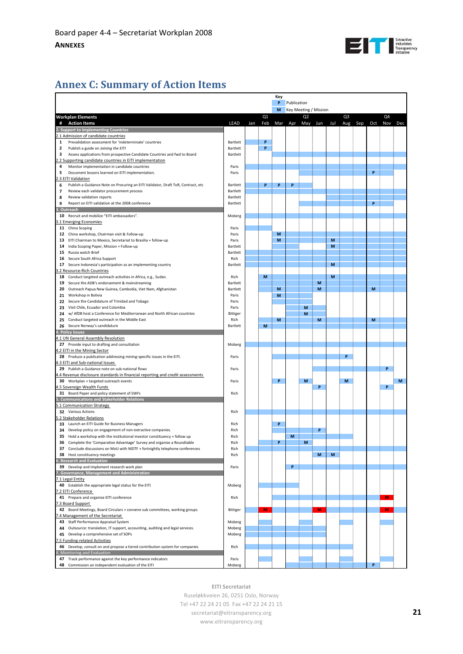

# <span id="page-20-0"></span>**Annex C: Summary of Action Items**

|              |                                                                                                                                                          |          |             |     | Key          |     |                       |     |     |                |         |     |         |   |
|--------------|----------------------------------------------------------------------------------------------------------------------------------------------------------|----------|-------------|-----|--------------|-----|-----------------------|-----|-----|----------------|---------|-----|---------|---|
|              |                                                                                                                                                          | P        | Publication |     |              |     |                       |     |     |                |         |     |         |   |
|              |                                                                                                                                                          |          |             |     | M            |     | Key Meeting / Mission |     |     |                |         |     |         |   |
|              | <b>Workplan Elements</b>                                                                                                                                 |          |             | Q1  |              |     | Q <sub>2</sub>        |     |     | Q <sub>3</sub> |         |     | Q4      |   |
|              | # Action Items                                                                                                                                           | LEAD     | Jan         | Feb | Mar          | Apr | May                   | Jun | Jul |                | Aug Sep | Oct | Nov Dec |   |
|              | 2. Support to Implementing Countries                                                                                                                     |          |             |     |              |     |                       |     |     |                |         |     |         |   |
|              | 2.1 Admission of candidate countries                                                                                                                     |          |             |     |              |     |                       |     |     |                |         |     |         |   |
| $\mathbf{1}$ |                                                                                                                                                          | Bartlett |             | P   |              |     |                       |     |     |                |         |     |         |   |
|              | Prevalidation assessment for 'indeterminate' countries<br>Publish a guide on Joining the EITI                                                            | Bartlett |             | P   |              |     |                       |     |     |                |         |     |         |   |
| 2            |                                                                                                                                                          | Bartlett |             |     |              |     |                       |     |     |                |         |     |         |   |
| 3            | Assess applications from prospective Candidate Countries and fwd to Board                                                                                |          |             |     |              |     |                       |     |     |                |         |     |         |   |
|              | .2 Supporting candidate countries in EITI implementation                                                                                                 |          |             |     |              |     |                       |     |     |                |         |     |         |   |
| 4            | Monitor implementation in candidate countries                                                                                                            | Paris    |             |     |              |     |                       |     |     |                |         |     |         |   |
| 5            | Document lessons learned on EITI implementation.                                                                                                         | Paris    |             |     |              |     |                       |     |     |                |         | P   |         |   |
|              | .3 EITI Validation                                                                                                                                       |          |             |     |              |     |                       |     |     |                |         |     |         |   |
| 6            | Publish a Guidance Note on Procuring an EITI Validator, Draft ToR, Contract, etc                                                                         | Bartlett |             | P   | P            | P   |                       |     |     |                |         |     |         |   |
| 7            | Review each validator procurement process                                                                                                                | Bartlett |             |     |              |     |                       |     |     |                |         |     |         |   |
| 8            | Review validation reports                                                                                                                                | Bartlett |             |     |              |     |                       |     |     |                |         |     |         |   |
| 9            | Report on EITI validation at the 2008 conference                                                                                                         | Bartlett |             |     |              |     |                       |     |     |                |         | P   |         |   |
|              | 3. Outreach                                                                                                                                              |          |             |     |              |     |                       |     |     |                |         |     |         |   |
| 10           | Recruit and mobilize "EITI ambassadors".                                                                                                                 | Moberg   |             |     |              |     |                       |     |     |                |         |     |         |   |
|              | .1 Emerging Economies                                                                                                                                    |          |             |     |              |     |                       |     |     |                |         |     |         |   |
|              | 11 China Scoping                                                                                                                                         | Paris    |             |     |              |     |                       |     |     |                |         |     |         |   |
|              | 12 China workshop, Chairman visit & Follow-up                                                                                                            | Paris    |             |     | M            |     |                       |     |     |                |         |     |         |   |
|              | 13 EITI Chairman to Mexico, Secretariat to Brasilia + follow-up                                                                                          | Paris    |             |     | M            |     |                       |     | M   |                |         |     |         |   |
|              | 14 India Scoping Paper, Mission + Follow-up                                                                                                              | Bartlett |             |     |              |     |                       |     | M   |                |         |     |         |   |
|              | 15 Russia watch Brief                                                                                                                                    | Bartlett |             |     |              |     |                       |     |     |                |         |     |         |   |
| 16           | Secure South Africa Support                                                                                                                              | Rich     |             |     |              |     |                       |     |     |                |         |     |         |   |
|              | 17 Secure Indonesia's participation as an implementing country                                                                                           | Bartlett |             |     |              |     |                       |     | M   |                |         |     |         |   |
|              | .2 Resource-Rich Countries                                                                                                                               |          |             |     |              |     |                       |     |     |                |         |     |         |   |
|              | 18 Conduct targeted outreach activities in Africa, e.g., Sudan.                                                                                          | Rich     |             | M   |              |     |                       |     | M   |                |         |     |         |   |
| 19           | Secure the ADB's endorsement & mainstreaming                                                                                                             | Bartlett |             |     |              |     |                       | M   |     |                |         |     |         |   |
| 20           | Outreach Papua New Guinea, Cambodia, Viet Nam, Afghanistan                                                                                               | Bartlett |             |     | M            |     |                       | М   |     |                |         | M   |         |   |
|              | 21 Workshop in Bolivia                                                                                                                                   | Paris    |             |     | M            |     |                       |     |     |                |         |     |         |   |
|              | 22 Secure the Candidature of Trinidad and Tobago                                                                                                         | Paris    |             |     |              |     |                       |     |     |                |         |     |         |   |
|              | 23 Visit Chile, Ecuador and Colombia                                                                                                                     |          |             |     |              |     |                       |     |     |                |         |     |         |   |
|              |                                                                                                                                                          | Paris    |             |     |              |     | M                     |     |     |                |         |     |         |   |
|              | 24 w/ AfDB host a Conference for Mediterranean and North African countries                                                                               | Bittiger |             |     |              |     | M                     |     |     |                |         |     |         |   |
|              | 25 Conduct targeted outreach in the Middle East                                                                                                          | Rich     |             |     | M            |     |                       | M   |     |                |         | M   |         |   |
|              | 26 Secure Norway's candidature                                                                                                                           | Bartlett |             | M   |              |     |                       |     |     |                |         |     |         |   |
|              | 4. Policy Issues                                                                                                                                         |          |             |     |              |     |                       |     |     |                |         |     |         |   |
|              | 1.1 UN General Assembly Resolution                                                                                                                       |          |             |     |              |     |                       |     |     |                |         |     |         |   |
|              | 27 Provide input to drafting and consultation                                                                                                            | Moberg   |             |     |              |     |                       |     |     |                |         |     |         |   |
|              | 1.2 EITI in the Mining Sector                                                                                                                            |          |             |     |              |     |                       |     |     |                |         |     |         |   |
|              | 28 Produce a publication addressing mining-specific issues in the EITI.                                                                                  | Paris    |             |     |              |     |                       |     |     | P              |         |     |         |   |
|              | 1.3 EITI and Sub-national Issues                                                                                                                         |          |             |     |              |     |                       |     |     |                |         |     |         |   |
|              | 29 Publish a Guidance note on sub-national flows                                                                                                         | Paris    |             |     |              |     |                       |     |     |                |         |     | P       |   |
|              | .4 Revenue disclosure standards in financial reporting and credit assessments                                                                            |          |             |     |              |     |                       |     |     |                |         |     |         |   |
|              | 30 Workplan + targeted outreach events                                                                                                                   | Paris    |             |     | P            |     | M                     |     |     | M              |         |     |         | M |
|              | .5 Sovereign Wealth Funds                                                                                                                                |          |             |     |              |     |                       | P   |     |                |         |     | p       |   |
|              | 31 Board Paper and policy statement of SWFs                                                                                                              | Rich     |             |     |              |     |                       |     |     |                |         |     |         |   |
|              | 5. Communications and Stakeholder Relations                                                                                                              |          |             |     |              |     |                       |     |     |                |         |     |         |   |
|              | 5.1 Communication Strategy                                                                                                                               |          |             |     |              |     |                       |     |     |                |         |     |         |   |
|              | 32 Various Actions                                                                                                                                       | Rich     |             |     |              |     |                       |     |     |                |         |     |         |   |
|              | 2 Stakeholder Relations                                                                                                                                  |          |             |     |              |     |                       |     |     |                |         |     |         |   |
|              | 33 Launch an EITI Guide for Business Managers                                                                                                            | Rich     |             |     | P            |     |                       |     |     |                |         |     |         |   |
|              | 34 Develop policy on engagement of non-extractive companies.                                                                                             | Rich     |             |     |              |     |                       | P   |     |                |         |     |         |   |
|              | 35 Hold a workshop with the institutional investor constituency + follow up                                                                              | Rich     |             |     |              | M   |                       |     |     |                |         |     |         |   |
|              |                                                                                                                                                          | Rich     |             |     | $\mathbf{D}$ |     |                       |     |     |                |         |     |         |   |
|              | 36 Complete the 'Comparative Advantage' Survey and organise a Roundtable<br>37 Conclude discussions on MoU with MDTF + fortnightly telephone conferences | Rich     |             |     |              |     |                       |     |     |                |         |     |         |   |
|              |                                                                                                                                                          |          |             |     |              |     |                       |     |     |                |         |     |         |   |
|              | 38 Host constituency meetings                                                                                                                            | Rich     |             |     |              |     |                       | M   | M   |                |         |     |         |   |
|              | 6. Research and Evaluation                                                                                                                               |          |             |     |              |     |                       |     |     |                |         |     |         |   |
|              | 39 Develop and Implement research work plan                                                                                                              | Paris    |             |     |              | P   |                       |     |     |                |         |     |         |   |
|              | 7. Governance, Management and Administration                                                                                                             |          |             |     |              |     |                       |     |     |                |         |     |         |   |
|              | 7.1 Legal Entity                                                                                                                                         |          |             |     |              |     |                       |     |     |                |         |     |         |   |
|              | 40 Establish the appropriate legal status for the EITI                                                                                                   | Moberg   |             |     |              |     |                       |     |     |                |         |     |         |   |
|              | .2 EITI Conference                                                                                                                                       |          |             |     |              |     |                       |     |     |                |         |     |         |   |
|              | 41 Prepare and organise EITI conference                                                                                                                  | Rich     |             |     |              |     |                       |     |     |                |         |     | M       |   |
|              | 7.3 Board Support                                                                                                                                        |          |             |     |              |     |                       |     |     |                |         |     |         |   |
|              | 42 Board Meetings, Board Circulars + convene sub committees, working groups                                                                              | Bittiger |             | M   |              |     |                       | м   |     |                |         |     | м       |   |
|              | .4 Management of the Secretariat                                                                                                                         |          |             |     |              |     |                       |     |     |                |         |     |         |   |
|              | 43 Staff Performance Appraisal System                                                                                                                    | Moberg   |             |     |              |     |                       |     |     |                |         |     |         |   |
|              | 44 Outsource: translation, IT support, accounting, auditing and legal services.                                                                          | Moberg   |             |     |              |     |                       |     |     |                |         |     |         |   |
|              | 45 Develop a comprehensive set of SOPs                                                                                                                   | Moberg   |             |     |              |     |                       |     |     |                |         |     |         |   |
|              | .5 Funding-related Activities                                                                                                                            |          |             |     |              |     |                       |     |     |                |         |     |         |   |
|              | 46 Develop, consult on and propose a tiered contribution system for companies                                                                            | Rich     |             |     |              |     |                       |     |     |                |         |     |         |   |
|              |                                                                                                                                                          |          |             |     |              |     |                       |     |     |                |         |     |         |   |
|              | 3. Monitoring and Evaluation                                                                                                                             |          |             |     |              |     |                       |     |     |                |         |     |         |   |
|              | 47 Track performance against the key performance indicators                                                                                              | Paris    |             |     |              |     |                       |     |     |                |         |     |         |   |
|              | 48 Commission an independent evaluation of the EITI                                                                                                      | Moberg   |             |     |              |     |                       |     |     |                |         |     |         |   |

**EITI Secretariat**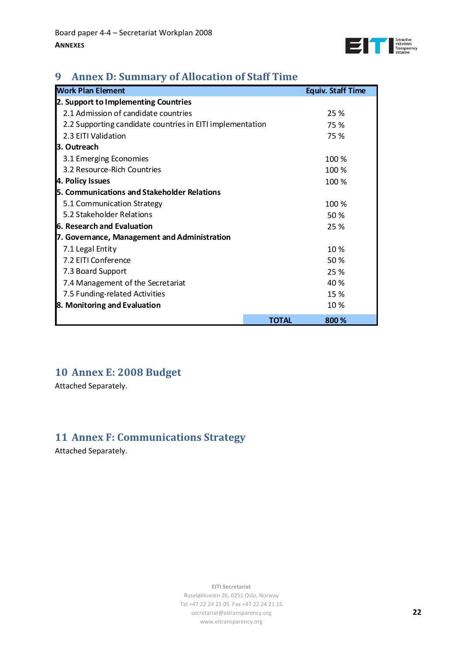

# <span id="page-21-0"></span>**9 Annex D: Summary of Allocation of Staff Time**

| <b>Work Plan Element</b>                                  |              | <b>Equiv. Staff Time</b> |
|-----------------------------------------------------------|--------------|--------------------------|
| 2. Support to Implementing Countries                      |              |                          |
| 2.1 Admission of candidate countries                      |              | 25 %                     |
| 2.2 Supporting candidate countries in EITI implementation |              | 75 %                     |
| 2.3 EITI Validation                                       |              | 75 %                     |
| <b>l3. Outreach</b>                                       |              |                          |
| 3.1 Emerging Economies                                    |              | 100 %                    |
| 3.2 Resource-Rich Countries                               |              | 100 %                    |
| 4. Policy Issues                                          |              | 100 %                    |
| 5. Communications and Stakeholder Relations               |              |                          |
| 5.1 Communication Strategy                                |              | 100 %                    |
| 5.2 Stakeholder Relations                                 |              | 50 %                     |
| <b>6. Research and Evaluation</b>                         |              | 25 %                     |
| 7. Governance, Management and Administration              |              |                          |
| 7.1 Legal Entity                                          |              | 10 %                     |
| 7.2 EITI Conference                                       |              | 50 %                     |
| 7.3 Board Support                                         |              | 25 %                     |
| 7.4 Management of the Secretariat                         |              | 40 %                     |
| 7.5 Funding-related Activities                            |              | 15 %                     |
| 8. Monitoring and Evaluation                              |              | 10 %                     |
|                                                           | <b>TOTAL</b> | 800 %                    |

# **10 Annex E: 2008 Budget**

Attached Separately.

# **11 Annex F: Communications Strategy**

Attached Separately.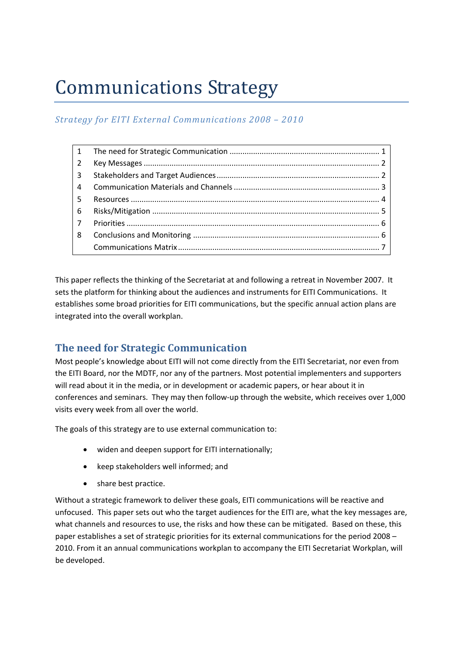# <span id="page-22-0"></span>Communications Strategy

# *Strategy for EITI External Communications 2008 – 2010*

| $\mathbf{1}$   |  |
|----------------|--|
| 2              |  |
| 3              |  |
| 4              |  |
| -5.            |  |
| -6             |  |
| $\overline{7}$ |  |
| 8              |  |
|                |  |
|                |  |

This paper reflects the thinking of the Secretariat at and following a retreat in November 2007. It sets the platform for thinking about the audiences and instruments for EITI Communications. It establishes some broad priorities for EITI communications, but the specific annual action plans are integrated into the overall workplan.

# **The need for Strategic Communication**

Most people's knowledge about EITI will not come directly from the EITI Secretariat, nor even from the EITI Board, nor the MDTF, nor any of the partners. Most potential implementers and supporters will read about it in the media, or in development or academic papers, or hear about it in conferences and seminars. They may then follow‐up through the website, which receives over 1,000 visits every week from all over the world.

The goals of this strategy are to use external communication to:

- widen and deepen support for EITI internationally;
- keep stakeholders well informed; and
- share best practice.

Without a strategic framework to deliver these goals, EITI communications will be reactive and unfocused. This paper sets out who the target audiences for the EITI are, what the key messages are, what channels and resources to use, the risks and how these can be mitigated. Based on these, this paper establishes a set of strategic priorities for its external communications for the period 2008 – 2010. From it an annual communications workplan to accompany the EITI Secretariat Workplan, will be developed.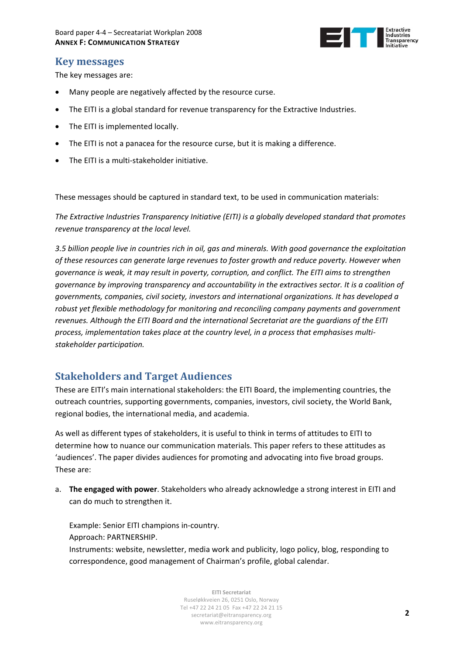

# <span id="page-23-0"></span>**Key messages**

The key messages are:

- Many people are negatively affected by the resource curse.
- The EITI is a global standard for revenue transparency for the Extractive Industries.
- The EITI is implemented locally.
- The EITI is not a panacea for the resource curse, but it is making a difference.
- The EITI is a multi-stakeholder initiative.

These messages should be captured in standard text, to be used in communication materials:

*The Extractive Industries Transparency Initiative (EITI) is a globally developed standard that promotes revenue transparency at the local level.*

*3.5 billion people live in countries rich in oil, gas and minerals. With good governance the exploitation of these resources can generate large revenues to foster growth and reduce poverty. However when governance is weak, it may result in poverty, corruption, and conflict. The EITI aims to strengthen governance by improving transparency and accountability in the extractives sector. It is a coalition of governments, companies, civil society, investors and international organizations. It has developed a robust yet flexible methodology for monitoring and reconciling company payments and government revenues. Although the EITI Board and the international Secretariat are the guardians of the EITI process, implementation takes place at the country level, in a process that emphasises multi‐ stakeholder participation.* 

# **Stakeholders and Target Audiences**

These are EITI's main international stakeholders: the EITI Board, the implementing countries, the outreach countries, supporting governments, companies, investors, civil society, the World Bank, regional bodies, the international media, and academia.

As well as different types of stakeholders, it is useful to think in terms of attitudes to EITI to determine how to nuance our communication materials. This paper refers to these attitudes as 'audiences'. The paper divides audiences for promoting and advocating into five broad groups. These are:

a. **The engaged with power**. Stakeholders who already acknowledge a strong interest in EITI and can do much to strengthen it.

Example: Senior EITI champions in‐country. Approach: PARTNERSHIP. Instruments: website, newsletter, media work and publicity, logo policy, blog, responding to correspondence, good management of Chairman's profile, global calendar.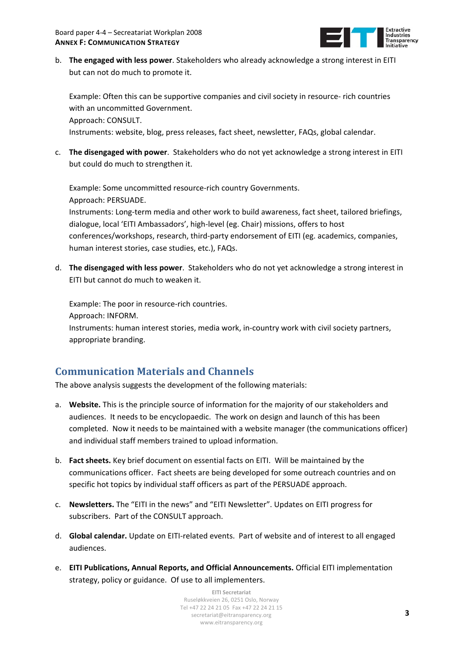

<span id="page-24-0"></span>b. **The engaged with less power**. Stakeholders who already acknowledge a strong interest in EITI but can not do much to promote it.

Example: Often this can be supportive companies and civil society in resource‐ rich countries with an uncommitted Government. Approach: CONSULT.

Instruments: website, blog, press releases, fact sheet, newsletter, FAQs, global calendar.

c. **The disengaged with power**. Stakeholders who do not yet acknowledge a strong interest in EITI but could do much to strengthen it.

Example: Some uncommitted resource‐rich country Governments. Approach: PERSUADE. Instruments: Long‐term media and other work to build awareness, fact sheet, tailored briefings, dialogue, local 'EITI Ambassadors', high‐level (eg. Chair) missions, offers to host conferences/workshops, research, third-party endorsement of EITI (eg. academics, companies, human interest stories, case studies, etc.), FAQs.

d. **The disengaged with less power**. Stakeholders who do not yet acknowledge a strong interest in EITI but cannot do much to weaken it.

Example: The poor in resource-rich countries. Approach: INFORM. Instruments: human interest stories, media work, in‐country work with civil society partners, appropriate branding.

# **Communication Materials and Channels**

The above analysis suggests the development of the following materials:

- a. **Website.** This is the principle source of information for the majority of our stakeholders and audiences. It needs to be encyclopaedic. The work on design and launch of this has been completed. Now it needs to be maintained with a website manager (the communications officer) and individual staff members trained to upload information.
- b. **Fact sheets.** Key brief document on essential facts on EITI. Will be maintained by the communications officer. Fact sheets are being developed for some outreach countries and on specific hot topics by individual staff officers as part of the PERSUADE approach.
- c. **Newsletters.** The "EITI in the news" and "EITI Newsletter". Updates on EITI progress for subscribers. Part of the CONSULT approach.
- d. **Global calendar.** Update on EITI‐related events. Part of website and of interest to all engaged audiences.
- e. **EITI Publications, Annual Reports, and Official Announcements.** Official EITI implementation strategy, policy or guidance. Of use to all implementers.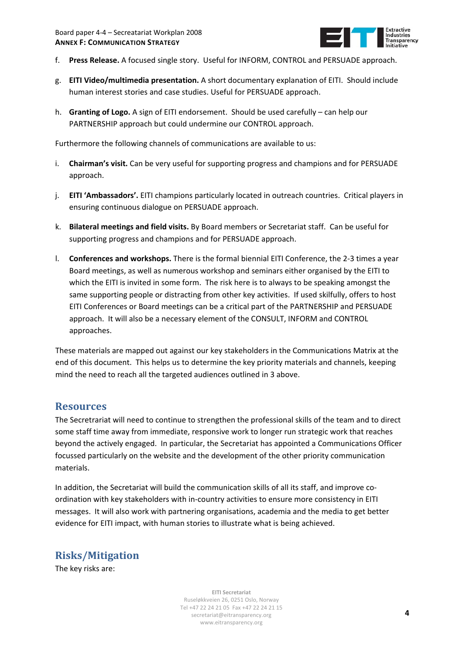

- <span id="page-25-0"></span>f. **Press Release.** A focused single story. Useful for INFORM, CONTROL and PERSUADE approach.
- g. **EITI Video/multimedia presentation.** A short documentary explanation of EITI. Should include human interest stories and case studies. Useful for PERSUADE approach.
- h. **Granting of Logo.** A sign of EITI endorsement. Should be used carefully can help our PARTNERSHIP approach but could undermine our CONTROL approach.

Furthermore the following channels of communications are available to us:

- i. **Chairman's visit.** Can be very useful for supporting progress and champions and for PERSUADE approach.
- j. **EITI 'Ambassadors'.** EITI champions particularly located in outreach countries. Critical players in ensuring continuous dialogue on PERSUADE approach.
- k. **Bilateral meetings and field visits.** By Board members or Secretariat staff. Can be useful for supporting progress and champions and for PERSUADE approach.
- l. **Conferences and workshops.** There is the formal biennial EITI Conference, the 2‐3 times a year Board meetings, as well as numerous workshop and seminars either organised by the EITI to which the EITI is invited in some form. The risk here is to always to be speaking amongst the same supporting people or distracting from other key activities. If used skilfully, offers to host EITI Conferences or Board meetings can be a critical part of the PARTNERSHIP and PERSUADE approach. It will also be a necessary element of the CONSULT, INFORM and CONTROL approaches.

These materials are mapped out against our key stakeholders in the Communications Matrix at the end of this document. This helps us to determine the key priority materials and channels, keeping mind the need to reach all the targeted audiences outlined in 3 above.

# **Resources**

The Secretrariat will need to continue to strengthen the professional skills of the team and to direct some staff time away from immediate, responsive work to longer run strategic work that reaches beyond the actively engaged. In particular, the Secretariat has appointed a Communications Officer focussed particularly on the website and the development of the other priority communication materials.

In addition, the Secretariat will build the communication skills of all its staff, and improve coordination with key stakeholders with in‐country activities to ensure more consistency in EITI messages. It will also work with partnering organisations, academia and the media to get better evidence for EITI impact, with human stories to illustrate what is being achieved.

# **Risks/Mitigation**

The key risks are: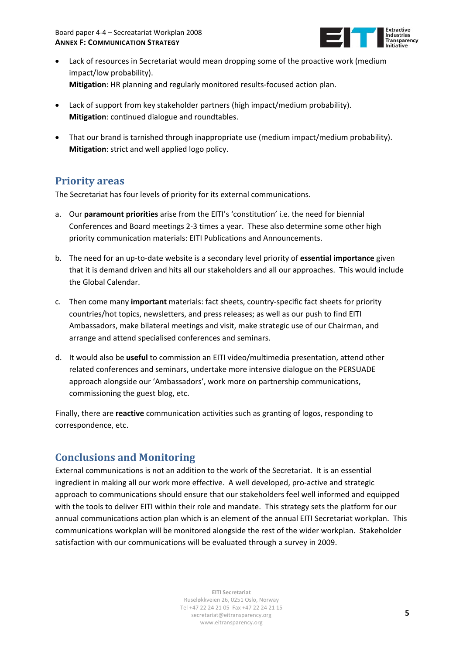

- <span id="page-26-0"></span>• Lack of resources in Secretariat would mean dropping some of the proactive work (medium impact/low probability). **Mitigation**: HR planning and regularly monitored results‐focused action plan.
- Lack of support from key stakeholder partners (high impact/medium probability). **Mitigation**: continued dialogue and roundtables.
- That our brand is tarnished through inappropriate use (medium impact/medium probability). **Mitigation**: strict and well applied logo policy.

# **Priority areas**

The Secretariat has four levels of priority for its external communications.

- a. Our **paramount priorities** arise from the EITI's 'constitution' i.e. the need for biennial Conferences and Board meetings 2‐3 times a year. These also determine some other high priority communication materials: EITI Publications and Announcements.
- b. The need for an up‐to‐date website is a secondary level priority of **essential importance** given that it is demand driven and hits all our stakeholders and all our approaches. This would include the Global Calendar.
- c. Then come many **important** materials: fact sheets, country‐specific fact sheets for priority countries/hot topics, newsletters, and press releases; as well as our push to find EITI Ambassadors, make bilateral meetings and visit, make strategic use of our Chairman, and arrange and attend specialised conferences and seminars.
- d. It would also be **useful** to commission an EITI video/multimedia presentation, attend other related conferences and seminars, undertake more intensive dialogue on the PERSUADE approach alongside our 'Ambassadors', work more on partnership communications, commissioning the guest blog, etc.

Finally, there are **reactive** communication activities such as granting of logos, responding to correspondence, etc.

# **Conclusions and Monitoring**

External communications is not an addition to the work of the Secretariat. It is an essential ingredient in making all our work more effective. A well developed, pro-active and strategic approach to communications should ensure that our stakeholders feel well informed and equipped with the tools to deliver EITI within their role and mandate. This strategy sets the platform for our annual communications action plan which is an element of the annual EITI Secretariat workplan. This communications workplan will be monitored alongside the rest of the wider workplan. Stakeholder satisfaction with our communications will be evaluated through a survey in 2009.